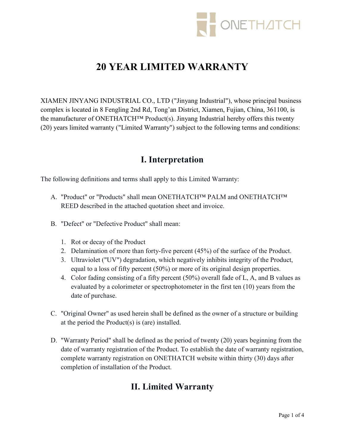

# 20 YEAR LIMITED WARRANTY

XIAMEN JINYANG INDUSTRIAL CO., LTD ("Jinyang Industrial"), whose principal business complex is located in 8 Fengling 2nd Rd, Tong'an District, Xiamen, Fujian, China, 361100, is the manufacturer of ONETHATCH™ Product(s). Jinyang Industrial hereby offers this twenty (20) years limited warranty ("Limited Warranty") subject to the following terms and conditions:

### I. Interpretation

The following definitions and terms shall apply to this Limited Warranty:

- A. "Product" or "Products" shall mean ONETHATCH™ PALM and ONETHATCH™ REED described in the attached quotation sheet and invoice.
- B. "Defect" or "Defective Product" shall mean:
	- 1. Rot or decay of the Product
	- 2. Delamination of more than forty-five percent (45%) of the surface of the Product.
	- 3. Ultraviolet ("UV") degradation, which negatively inhibits integrity of the Product, equal to a loss of fifty percent (50%) or more of its original design properties.
	- 4. Color fading consisting of a fifty percent (50%) overall fade of L, A, and B values as evaluated by a colorimeter or spectrophotometer in the first ten (10) years from the date of purchase.
- C. "Original Owner" as used herein shall be defined as the owner of a structure or building at the period the Product(s) is (are) installed.
- D. "Warranty Period" shall be defined as the period of twenty (20) years beginning from the date of warranty registration of the Product. To establish the date of warranty registration, complete warranty registration on ONETHATCH website within thirty (30) days after completion of installation of the Product.

# II. Limited Warranty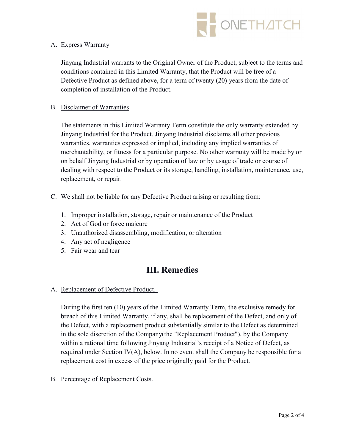

#### A. Express Warranty

Jinyang Industrial warrants to the Original Owner of the Product, subject to the terms and conditions contained in this Limited Warranty, that the Product will be free of a Defective Product as defined above, for a term of twenty (20) years from the date of completion of installation of the Product.

#### B. Disclaimer of Warranties

The statements in this Limited Warranty Term constitute the only warranty extended by Jinyang Industrial for the Product. Jinyang Industrial disclaims all other previous warranties, warranties expressed or implied, including any implied warranties of merchantability, or fitness for a particular purpose. No other warranty will be made by or on behalf Jinyang Industrial or by operation of law or by usage of trade or course of dealing with respect to the Product or its storage, handling, installation, maintenance, use, replacement, or repair.

- C. We shall not be liable for any Defective Product arising or resulting from:
	- 1. Improper installation, storage, repair or maintenance of the Product
	- 2. Act of God or force majeure
	- 3. Unauthorized disassembling, modification, or alteration
	- 4. Any act of negligence
	- 5. Fair wear and tear

### III. Remedies

A. Replacement of Defective Product.

During the first ten (10) years of the Limited Warranty Term, the exclusive remedy for breach of this Limited Warranty, if any, shall be replacement of the Defect, and only of the Defect, with a replacement product substantially similar to the Defect as determined in the sole discretion of the Company(the "Replacement Product"), by the Company within a rational time following Jinyang Industrial's receipt of a Notice of Defect, as required under Section IV(A), below. In no event shall the Company be responsible for a replacement cost in excess of the price originally paid for the Product.

B. Percentage of Replacement Costs.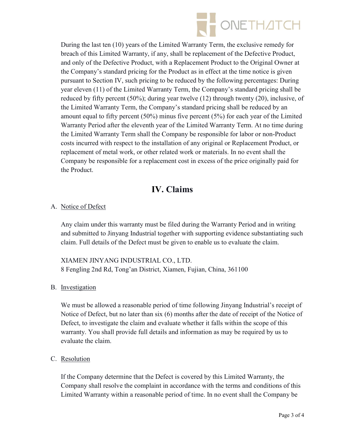

During the last ten (10) years of the Limited Warranty Term, the exclusive remedy for breach of this Limited Warranty, if any, shall be replacement of the Defective Product, and only of the Defective Product, with a Replacement Product to the Original Owner at the Company's standard pricing for the Product as in effect at the time notice is given pursuant to Section IV, such pricing to be reduced by the following percentages: During year eleven (11) of the Limited Warranty Term, the Company's standard pricing shall be reduced by fifty percent (50%); during year twelve (12) through twenty (20), inclusive, of the Limited Warranty Term, the Company's standard pricing shall be reduced by an amount equal to fifty percent (50%) minus five percent (5%) for each year of the Limited Warranty Period after the eleventh year of the Limited Warranty Term. At no time during the Limited Warranty Term shall the Company be responsible for labor or non-Product costs incurred with respect to the installation of any original or Replacement Product, or replacement of metal work, or other related work or materials. In no event shall the Company be responsible for a replacement cost in excess of the price originally paid for the Product.

# IV. Claims

### A. Notice of Defect

Any claim under this warranty must be filed during the Warranty Period and in writing and submitted to Jinyang Industrial together with supporting evidence substantiating such claim. Full details of the Defect must be given to enable us to evaluate the claim.

XIAMEN JINYANG INDUSTRIAL CO., LTD. 8 Fengling 2nd Rd, Tong'an District, Xiamen, Fujian, China, 361100

### B. Investigation

We must be allowed a reasonable period of time following Jinyang Industrial's receipt of Notice of Defect, but no later than six (6) months after the date of receipt of the Notice of Defect, to investigate the claim and evaluate whether it falls within the scope of this warranty. You shall provide full details and information as may be required by us to evaluate the claim.

### C. Resolution

If the Company determine that the Defect is covered by this Limited Warranty, the Company shall resolve the complaint in accordance with the terms and conditions of this Limited Warranty within a reasonable period of time. In no event shall the Company be